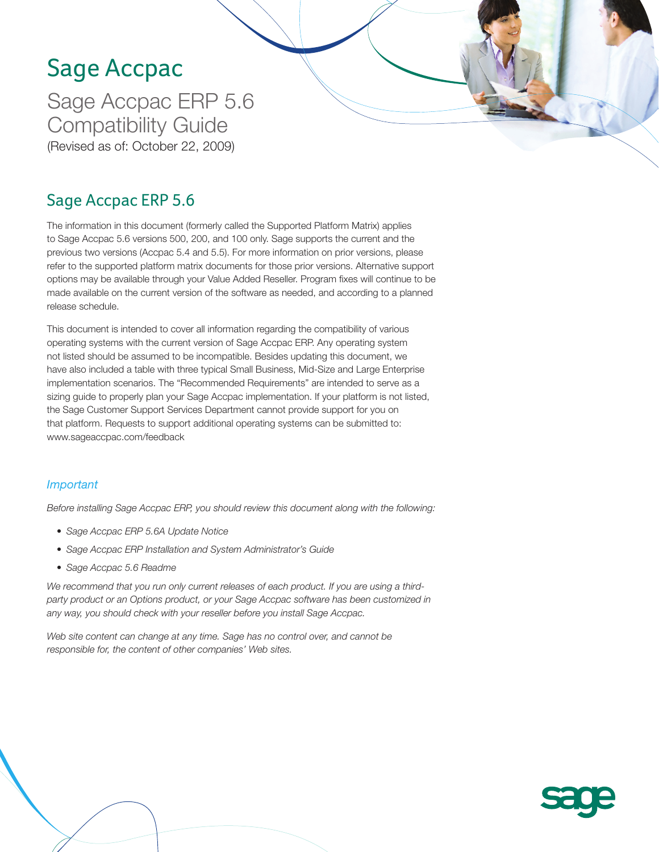# Sage Accpac

Sage Accpac ERP 5.6 Compatibility Guide (Revised as of: October 22, 2009)

### Sage Accpac ERP 5.6

The information in this document (formerly called the Supported Platform Matrix) applies to Sage Accpac 5.6 versions 500, 200, and 100 only. Sage supports the current and the previous two versions (Accpac 5.4 and 5.5). For more information on prior versions, please refer to the supported platform matrix documents for those prior versions. Alternative support options may be available through your Value Added Reseller. Program fixes will continue to be made available on the current version of the software as needed, and according to a planned release schedule.

This document is intended to cover all information regarding the compatibility of various operating systems with the current version of Sage Accpac ERP. Any operating system not listed should be assumed to be incompatible. Besides updating this document, we have also included a table with three typical Small Business, Mid-Size and Large Enterprise implementation scenarios. The "Recommended Requirements" are intended to serve as a sizing guide to properly plan your Sage Accpac implementation. If your platform is not listed, the Sage Customer Support Services Department cannot provide support for you on that platform. Requests to support additional operating systems can be submitted to: www.sageaccpac.com/feedback

#### *Important*

*Before installing Sage Accpac ERP, you should review this document along with the following:*

- *• Sage Accpac ERP 5.6A Update Notice*
- *• Sage Accpac ERP Installation and System Administrator's Guide*
- *• Sage Accpac 5.6 Readme*

*We recommend that you run only current releases of each product. If you are using a thirdparty product or an Options product, or your Sage Accpac software has been customized in any way, you should check with your reseller before you install Sage Accpac.*

*Web site content can change at any time. Sage has no control over, and cannot be responsible for, the content of other companies' Web sites.*

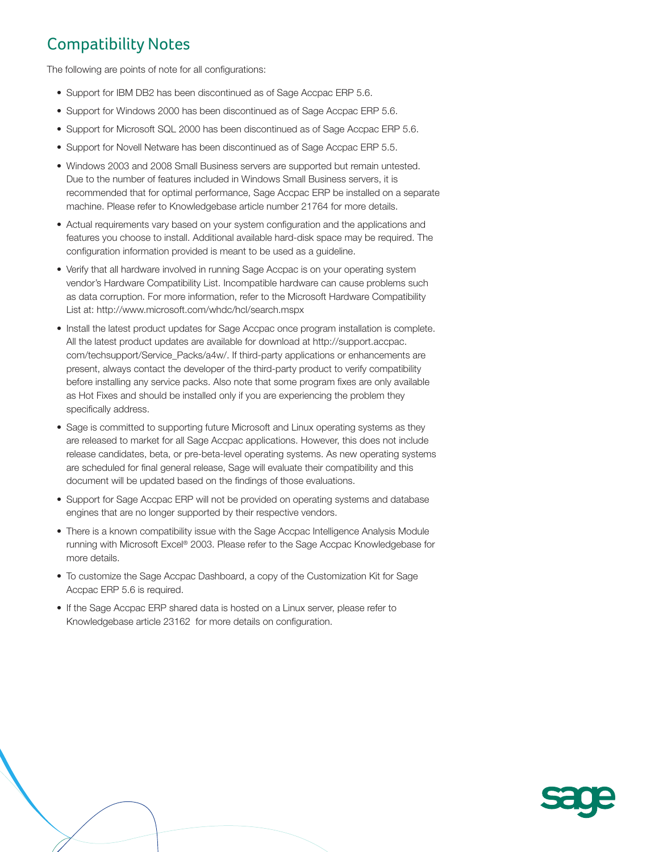### Compatibility Notes

The following are points of note for all configurations:

- Support for IBM DB2 has been discontinued as of Sage Accpac ERP 5.6.
- Support for Windows 2000 has been discontinued as of Sage Accpac ERP 5.6.
- Support for Microsoft SQL 2000 has been discontinued as of Sage Accpac ERP 5.6.
- Support for Novell Netware has been discontinued as of Sage Accpac ERP 5.5.
- Windows 2003 and 2008 Small Business servers are supported but remain untested. Due to the number of features included in Windows Small Business servers, it is recommended that for optimal performance, Sage Accpac ERP be installed on a separate machine. Please refer to Knowledgebase article number 21764 for more details.
- Actual requirements vary based on your system configuration and the applications and features you choose to install. Additional available hard-disk space may be required. The configuration information provided is meant to be used as a guideline.
- Verify that all hardware involved in running Sage Accpac is on your operating system vendor's Hardware Compatibility List. Incompatible hardware can cause problems such as data corruption. For more information, refer to the Microsoft Hardware Compatibility List at: http://www.microsoft.com/whdc/hcl/search.mspx
- Install the latest product updates for Sage Accpac once program installation is complete. All the latest product updates are available for download at http://support.accpac. com/techsupport/Service\_Packs/a4w/. If third-party applications or enhancements are present, always contact the developer of the third-party product to verify compatibility before installing any service packs. Also note that some program fixes are only available as Hot Fixes and should be installed only if you are experiencing the problem they specifically address.
- Sage is committed to supporting future Microsoft and Linux operating systems as they are released to market for all Sage Accpac applications. However, this does not include release candidates, beta, or pre-beta-level operating systems. As new operating systems are scheduled for final general release, Sage will evaluate their compatibility and this document will be updated based on the findings of those evaluations.
- Support for Sage Accpac ERP will not be provided on operating systems and database engines that are no longer supported by their respective vendors.
- There is a known compatibility issue with the Sage Accpac Intelligence Analysis Module running with Microsoft Excel® 2003. Please refer to the Sage Accpac Knowledgebase for more details.
- To customize the Sage Accpac Dashboard, a copy of the Customization Kit for Sage Accpac ERP 5.6 is required.
- If the Sage Accpac ERP shared data is hosted on a Linux server, please refer to Knowledgebase article 23162 for more details on configuration.

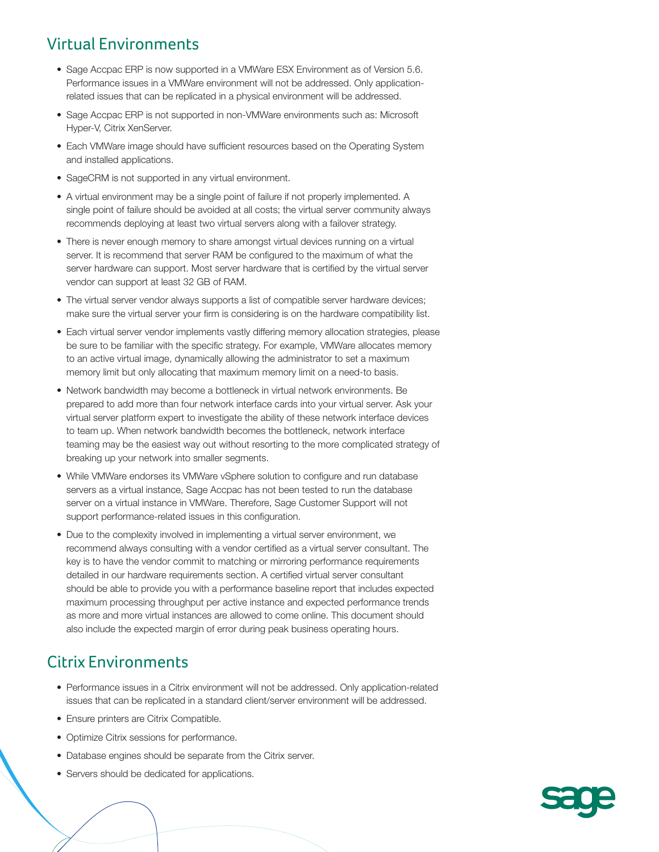### Virtual Environments

- Sage Accpac ERP is now supported in a VMWare ESX Environment as of Version 5.6. Performance issues in a VMWare environment will not be addressed. Only applicationrelated issues that can be replicated in a physical environment will be addressed.
- Sage Accpac ERP is not supported in non-VMWare environments such as: Microsoft Hyper-V, Citrix XenServer.
- Each VMWare image should have sufficient resources based on the Operating System and installed applications.
- SageCRM is not supported in any virtual environment.
- A virtual environment may be a single point of failure if not properly implemented. A single point of failure should be avoided at all costs; the virtual server community always recommends deploying at least two virtual servers along with a failover strategy.
- There is never enough memory to share amongst virtual devices running on a virtual server. It is recommend that server RAM be configured to the maximum of what the server hardware can support. Most server hardware that is certified by the virtual server vendor can support at least 32 GB of RAM.
- The virtual server vendor always supports a list of compatible server hardware devices; make sure the virtual server your firm is considering is on the hardware compatibility list.
- Each virtual server vendor implements vastly differing memory allocation strategies, please be sure to be familiar with the specific strategy. For example, VMWare allocates memory to an active virtual image, dynamically allowing the administrator to set a maximum memory limit but only allocating that maximum memory limit on a need-to basis.
- Network bandwidth may become a bottleneck in virtual network environments. Be prepared to add more than four network interface cards into your virtual server. Ask your virtual server platform expert to investigate the ability of these network interface devices to team up. When network bandwidth becomes the bottleneck, network interface teaming may be the easiest way out without resorting to the more complicated strategy of breaking up your network into smaller segments.
- While VMWare endorses its VMWare vSphere solution to configure and run database servers as a virtual instance, Sage Accpac has not been tested to run the database server on a virtual instance in VMWare. Therefore, Sage Customer Support will not support performance-related issues in this configuration.
- Due to the complexity involved in implementing a virtual server environment, we recommend always consulting with a vendor certified as a virtual server consultant. The key is to have the vendor commit to matching or mirroring performance requirements detailed in our hardware requirements section. A certified virtual server consultant should be able to provide you with a performance baseline report that includes expected maximum processing throughput per active instance and expected performance trends as more and more virtual instances are allowed to come online. This document should also include the expected margin of error during peak business operating hours.

### Citrix Environments

- Performance issues in a Citrix environment will not be addressed. Only application-related issues that can be replicated in a standard client/server environment will be addressed.
- Ensure printers are Citrix Compatible.
- Optimize Citrix sessions for performance.
- Database engines should be separate from the Citrix server.
- Servers should be dedicated for applications.

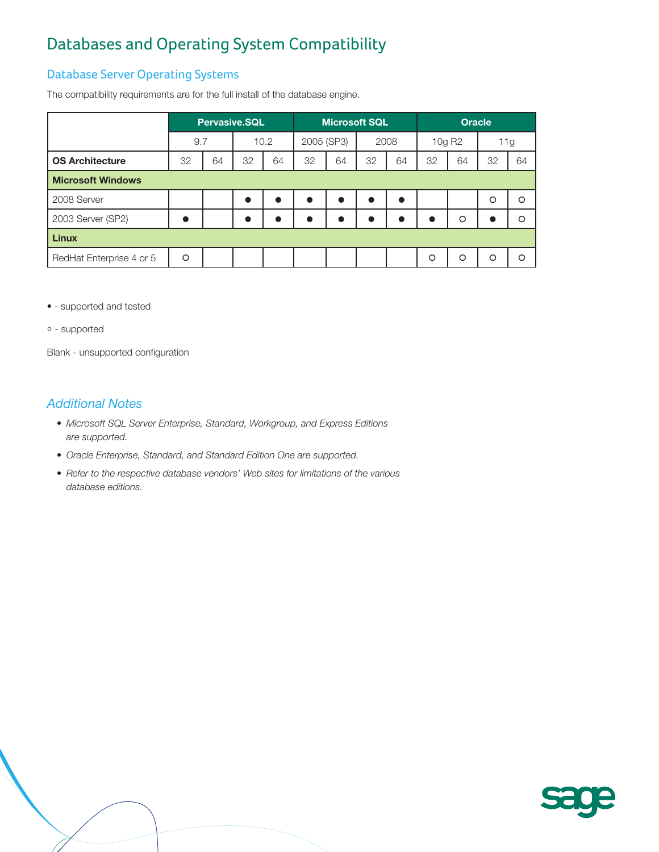## Databases and Operating System Compatibility

#### Database Server Operating Systems

The compatibility requirements are for the full install of the database engine.

| <b>Pervasive.SQL</b>     |    |           |    |            |           |      |    | <b>Oracle</b>        |          |         |          |
|--------------------------|----|-----------|----|------------|-----------|------|----|----------------------|----------|---------|----------|
|                          |    | 10.2      |    | 2005 (SP3) |           | 2008 |    | 10g R <sub>2</sub>   |          | 11g     |          |
| 32                       | 64 | 32        | 64 | 32         | 64        | 32   | 64 | 32                   | 64       | 32      | 64       |
| <b>Microsoft Windows</b> |    |           |    |            |           |      |    |                      |          |         |          |
|                          |    | $\bullet$ |    |            | $\bullet$ | n    |    |                      |          | $\circ$ | $\circ$  |
|                          |    | $\bullet$ |    |            | $\bullet$ |      |    | $\bullet$            | $\circ$  |         | $\circ$  |
| <b>Linux</b>             |    |           |    |            |           |      |    |                      |          |         |          |
| $\circ$                  |    |           |    |            |           |      |    | $\circ$              | $\Omega$ | $\circ$ | $\Omega$ |
|                          |    | 9.7       |    |            |           |      |    | <b>Microsoft SQL</b> |          |         |          |

• - supported and tested

° - supported

Blank - unsupported configuration

- *• Microsoft SQL Server Enterprise, Standard, Workgroup, and Express Editions are supported.*
- *• Oracle Enterprise, Standard, and Standard Edition One are supported.*
- *• Refer to the respective database vendors' Web sites for limitations of the various database editions.*

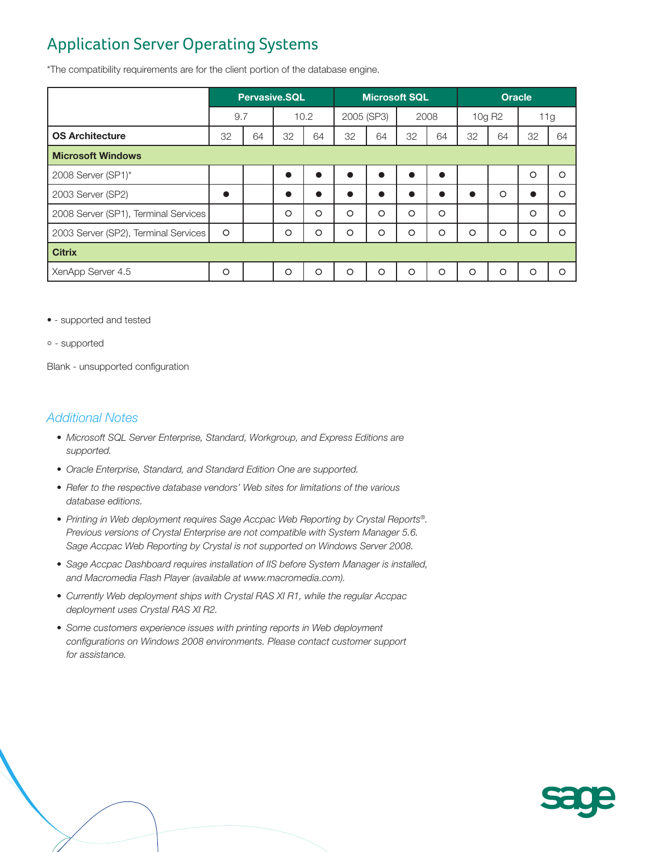## Application Server Operating Systems

\*The compatibility requirements are for the client portion of the database engine.

|                                      | <b>Pervasive.SQL</b> |    |         |         | <b>Microsoft SQL</b> |         |         |           | <b>Oracle</b> |                    |           |         |
|--------------------------------------|----------------------|----|---------|---------|----------------------|---------|---------|-----------|---------------|--------------------|-----------|---------|
|                                      | 9.7                  |    |         | 10.2    | 2005 (SP3)           |         | 2008    |           |               | 10g R <sub>2</sub> | 11g       |         |
| <b>OS Architecture</b>               | 32                   | 64 | 32      | 64      | 32                   | 64      | 32      | 64        | 32            | 64                 | 32        | 64      |
| <b>Microsoft Windows</b>             |                      |    |         |         |                      |         |         |           |               |                    |           |         |
| 2008 Server (SP1)*                   |                      |    |         |         | $\bullet$            |         |         | $\bullet$ |               |                    | $\circ$   | $\circ$ |
| 2003 Server (SP2)                    |                      |    |         |         | $\bullet$            |         | ●       | ●         |               | O                  | $\bullet$ | $\circ$ |
| 2008 Server (SP1), Terminal Services |                      |    | $\circ$ | $\circ$ | $\circ$              | $\circ$ | $\circ$ | $\circ$   |               |                    | $\circ$   | $\circ$ |
| 2003 Server (SP2), Terminal Services | $\circ$              |    | $\circ$ | $\circ$ | $\circ$              | $\circ$ | $\circ$ | O         | $\circ$       | $\circ$            | $\circ$   | O       |
| <b>Citrix</b>                        |                      |    |         |         |                      |         |         |           |               |                    |           |         |
| XenApp Server 4.5                    | $\circ$              |    | O       | $\circ$ | $\circ$              | O       | $\circ$ | O         | $\circ$       | $\circ$            | $\circ$   | O       |

• - supported and tested

° - supported

Blank - unsupported configuration

- *• Microsoft SQL Server Enterprise, Standard, Workgroup, and Express Editions are supported.*
- *• Oracle Enterprise, Standard, and Standard Edition One are supported.*
- *• Refer to the respective database vendors' Web sites for limitations of the various database editions.*
- *• Printing in Web deployment requires Sage Accpac Web Reporting by Crystal Reports®. Previous versions of Crystal Enterprise are not compatible with System Manager 5.6. Sage Accpac Web Reporting by Crystal is not supported on Windows Server 2008.*
- *• Sage Accpac Dashboard requires installation of IIS before System Manager is installed, and Macromedia Flash Player (available at www.macromedia.com).*
- *• Currently Web deployment ships with Crystal RAS XI R1, while the regular Accpac deployment uses Crystal RAS XI R2.*
- *• Some customers experience issues with printing reports in Web deployment configurations on Windows 2008 environments. Please contact customer support for assistance.*

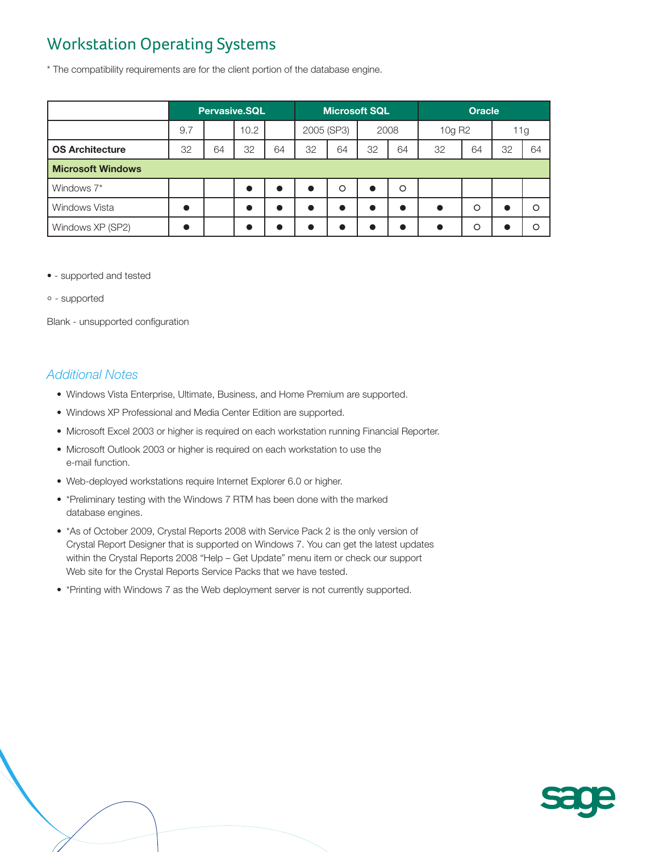## Workstation Operating Systems

\* The compatibility requirements are for the client portion of the database engine.

|                          | <b>Pervasive.SQL</b> |    |           | <b>Microsoft SQL</b> |            |         |      | <b>Oracle</b> |                    |         |     |          |
|--------------------------|----------------------|----|-----------|----------------------|------------|---------|------|---------------|--------------------|---------|-----|----------|
|                          | 9.7                  |    | 10.2      |                      | 2005 (SP3) |         | 2008 |               | 10g R <sub>2</sub> |         | 11g |          |
| <b>OS Architecture</b>   | 32                   | 64 | 32        | 64                   | 32         | 64      | 32   | 64            | 32                 | 64      | 32  | 64       |
| <b>Microsoft Windows</b> |                      |    |           |                      |            |         |      |               |                    |         |     |          |
| Windows 7*               |                      |    | $\bullet$ |                      |            | $\circ$ |      | $\circ$       |                    |         |     |          |
| <b>Windows Vista</b>     |                      |    | $\bullet$ |                      |            |         |      | $\bullet$     |                    | $\circ$ |     | $\Omega$ |
| Windows XP (SP2)         |                      |    |           |                      |            |         |      |               |                    | $\circ$ |     | ∩        |

- - supported and tested
- ° supported

Blank - unsupported configuration

- Windows Vista Enterprise, Ultimate, Business, and Home Premium are supported.
- Windows XP Professional and Media Center Edition are supported.
- Microsoft Excel 2003 or higher is required on each workstation running Financial Reporter.
- Microsoft Outlook 2003 or higher is required on each workstation to use the e-mail function.
- Web-deployed workstations require Internet Explorer 6.0 or higher.
- \*Preliminary testing with the Windows 7 RTM has been done with the marked database engines.
- \* As of October 2009, Crystal Reports 2008 with Service Pack 2 is the only version of Crystal Report Designer that is supported on Windows 7. You can get the latest updates within the Crystal Reports 2008 "Help – Get Update" menu item or check our support Web site for the Crystal Reports Service Packs that we have tested.
- \*Printing with Windows 7 as the Web deployment server is not currently supported.

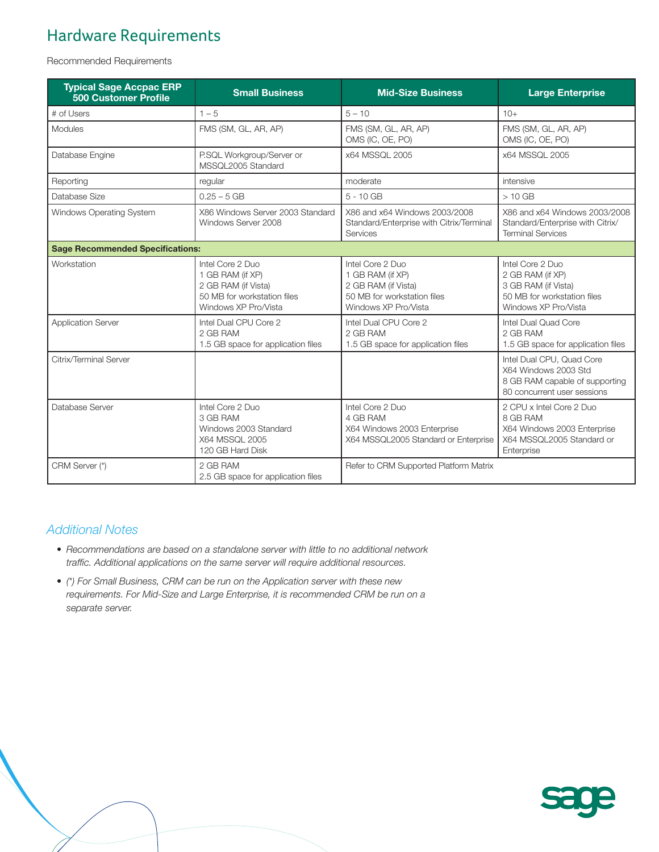# Hardware Requirements

Recommended Requirements

| <b>Typical Sage Accpac ERP</b><br><b>500 Customer Profile</b> | <b>Small Business</b>                                                                                              | <b>Mid-Size Business</b>                                                                                           | <b>Large Enterprise</b>                                                                                            |  |  |  |
|---------------------------------------------------------------|--------------------------------------------------------------------------------------------------------------------|--------------------------------------------------------------------------------------------------------------------|--------------------------------------------------------------------------------------------------------------------|--|--|--|
| # of Users                                                    | $1 - 5$                                                                                                            | $5 - 10$                                                                                                           | $10+$                                                                                                              |  |  |  |
| Modules                                                       | FMS (SM, GL, AR, AP)                                                                                               | FMS (SM, GL, AR, AP)<br>OMS (IC, OE, PO)                                                                           | FMS (SM, GL, AR, AP)<br>OMS (IC, OE, PO)                                                                           |  |  |  |
| Database Engine                                               | P.SQL Workgroup/Server or<br>MSSQL2005 Standard                                                                    | x64 MSSQL 2005                                                                                                     | x64 MSSQL 2005                                                                                                     |  |  |  |
| Reporting                                                     | regular                                                                                                            | moderate                                                                                                           | intensive                                                                                                          |  |  |  |
| Database Size                                                 | $0.25 - 5$ GB                                                                                                      | $5 - 10$ GB                                                                                                        | $>10$ GB                                                                                                           |  |  |  |
| Windows Operating System                                      | X86 Windows Server 2003 Standard<br>Windows Server 2008                                                            | X86 and x64 Windows 2003/2008<br>Standard/Enterprise with Citrix/Terminal<br>Services                              | X86 and x64 Windows 2003/2008<br>Standard/Enterprise with Citrix/<br><b>Terminal Services</b>                      |  |  |  |
| <b>Sage Recommended Specifications:</b>                       |                                                                                                                    |                                                                                                                    |                                                                                                                    |  |  |  |
| Workstation                                                   | Intel Core 2 Duo<br>1 GB RAM (if XP)<br>2 GB RAM (if Vista)<br>50 MB for workstation files<br>Windows XP Pro/Vista | Intel Core 2 Duo<br>1 GB RAM (if XP)<br>2 GB RAM (if Vista)<br>50 MB for workstation files<br>Windows XP Pro/Vista | Intel Core 2 Duo<br>2 GB RAM (if XP)<br>3 GB RAM (if Vista)<br>50 MB for workstation files<br>Windows XP Pro/Vista |  |  |  |
| <b>Application Server</b>                                     | Intel Dual CPU Core 2<br>2 GB RAM<br>1.5 GB space for application files                                            | Intel Dual CPU Core 2<br>2 GB RAM<br>1.5 GB space for application files                                            | Intel Dual Quad Core<br>2 GB RAM<br>1.5 GB space for application files                                             |  |  |  |
| Citrix/Terminal Server                                        |                                                                                                                    |                                                                                                                    | Intel Dual CPU, Quad Core<br>X64 Windows 2003 Std<br>8 GB RAM capable of supporting<br>80 concurrent user sessions |  |  |  |
| Database Server                                               | Intel Core 2 Duo<br>3 GB RAM<br>Windows 2003 Standard<br>X64 MSSQL 2005<br>120 GB Hard Disk                        | Intel Core 2 Duo<br>4 GB RAM<br>X64 Windows 2003 Enterprise<br>X64 MSSQL2005 Standard or Enterprise                | 2 CPU x Intel Core 2 Duo<br>8 GB RAM<br>X64 Windows 2003 Enterprise<br>X64 MSSQL2005 Standard or<br>Enterprise     |  |  |  |
| CRM Server (*)                                                | 2 GB RAM<br>2.5 GB space for application files                                                                     | Refer to CRM Supported Platform Matrix                                                                             |                                                                                                                    |  |  |  |

- *• Recommendations are based on a standalone server with little to no additional network traffic. Additional applications on the same server will require additional resources.*
- *• (\*) For Small Business, CRM can be run on the Application server with these new requirements. For Mid-Size and Large Enterprise, it is recommended CRM be run on a separate server.*